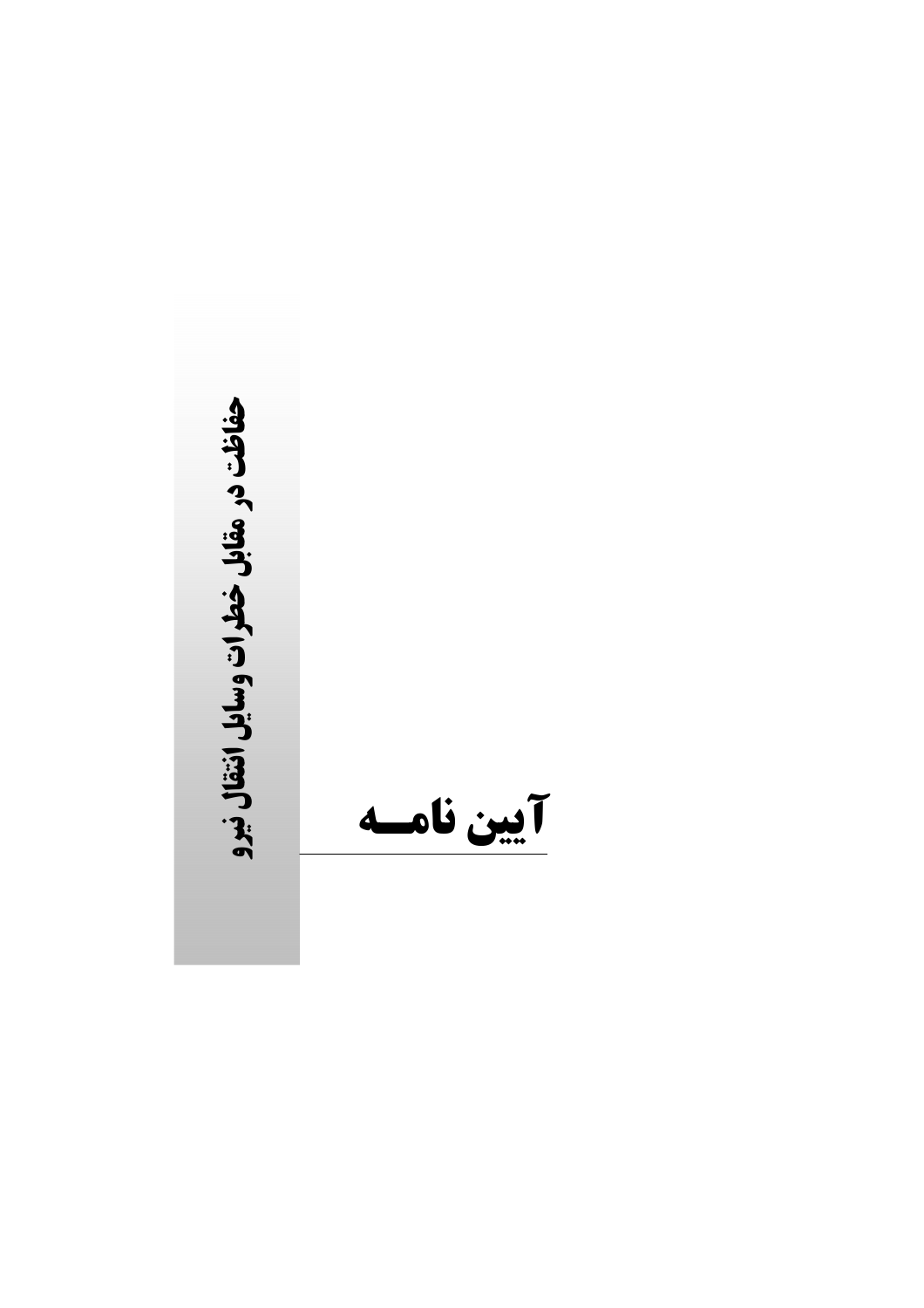حفاظت در مقابل خطرات وسایل انتقال نیرو

آيين نامسه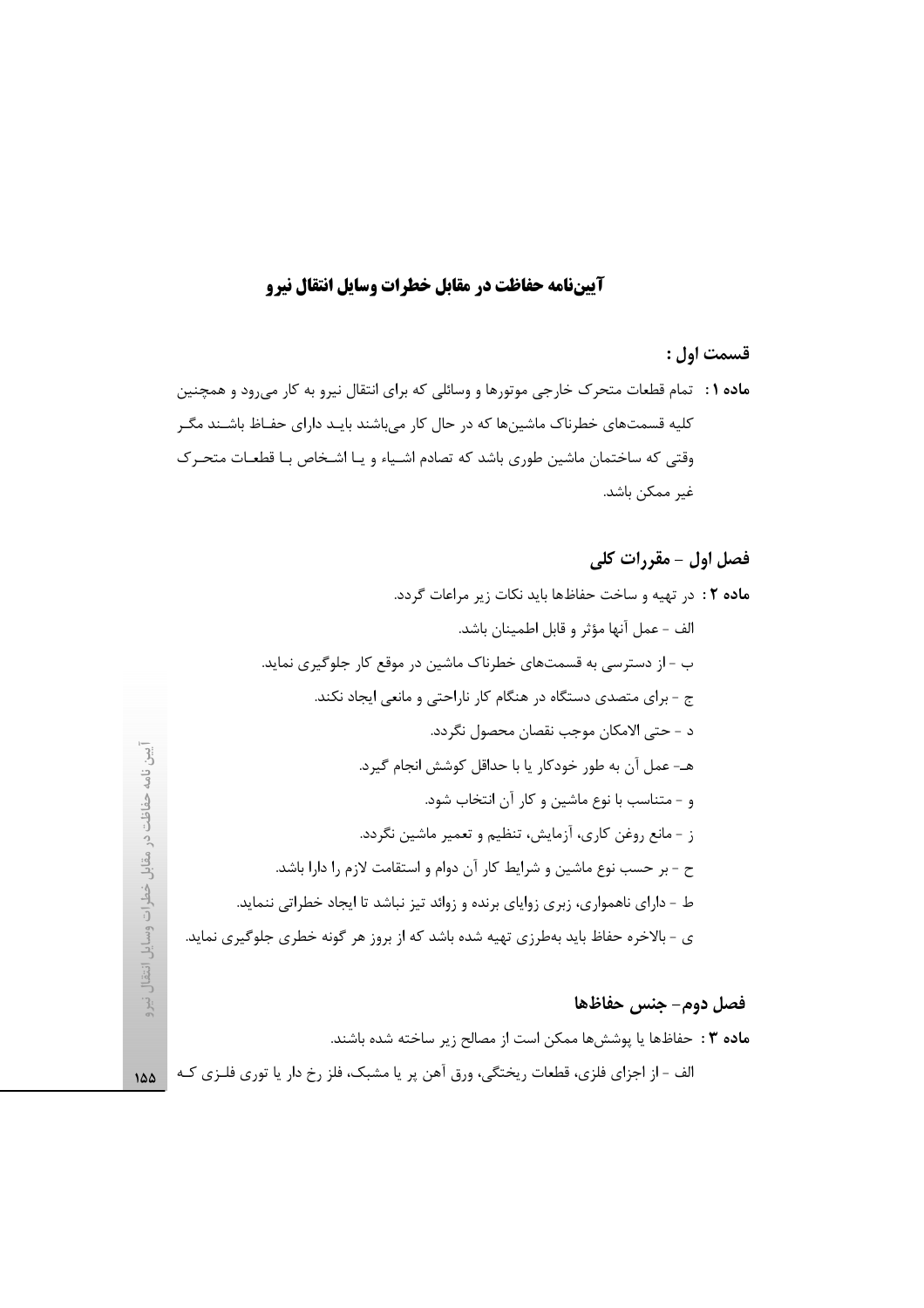## آييننامه حفاظت در مقابل خطرات وسايل انتقال نيرو

# فصل اول - مقررات کلی

## فصل دوم- جنس حفاظها

**ماده ۳ :** حفاظها یا پوششها ممکن است از مصالح زیر ساخته شده باشند. الف - از اجزای فلزی، قطعات ریختگی، ورق آهن پر یا مشبک، فلز رخ دار یا توری فلـزی کـه | ۱۵۵

اً یین نامه حفاظت در مقابل خطرات وسایل انتقال نیرو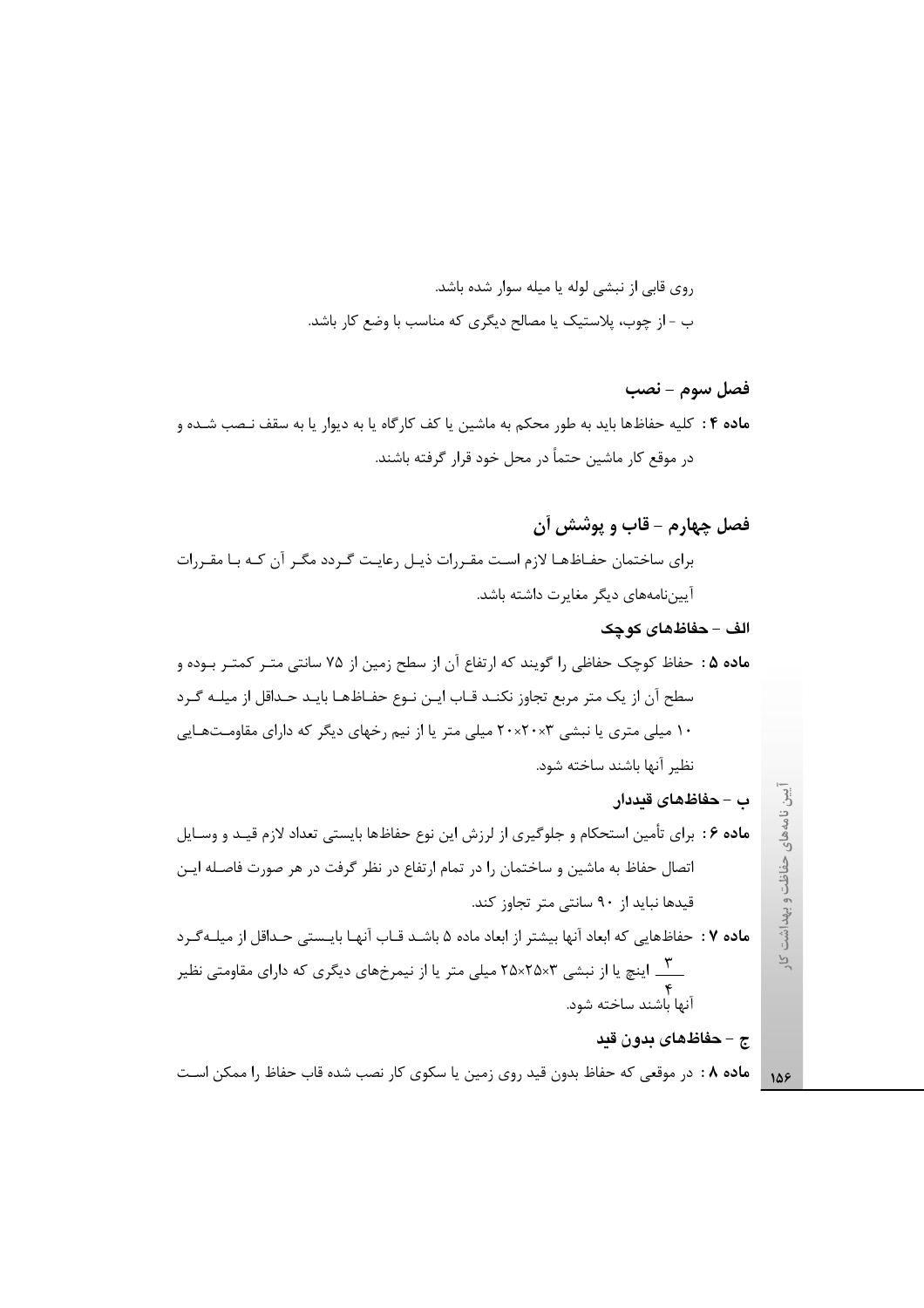روی قابی از نبشی لوله یا میله سوار شده باشد. ب - از چوب، پلاستیک یا مصالح دیگری که مناسب با وضع کار باشد.

فصل سوم - نصب ماده ۴ : كليه حفاظها بايد به طور محكم به ماشين يا كف كارگاه يا به ديوار يا به سقف نـصب شـده و در موقع کار ماشین حتماً در محل خود قرار گرفته باشند.

ب – حفاظهای قیددار

م**اده ۶** : برای تأمین استحکام و جلوگیری از لرزش این نوع حفاظها بایستی تعداد لازم قیـد و وسـایل اتصال حفاظ به ماشین و ساختمان را در تمام ارتفاع در نظر گرفت در هر صورت فاصله ایـن قیدها نباید از ۹۰ سانتی متر تجاوز کند.

ماده ۷ : حفاظهایی که ابعاد آنها بیشتر از ابعاد ماده ۵ باشـد قـاب آنهـا بایـستی حـداقل از میلـهگـرد \_\_\_<br>\_\_\_\_ اینچ یا از نبشی ۲۵×۲۵×۲۵ میلی متر یا از نیمرخهای دیگری که دارای مقاومتی نظیر ۴<br>آنها باشند ساخته شود.

ج – حفاظهای بدون قید

**ماده ۸ :** در موقعی که حفاظ بدون قید روی زمین یا سکوی کار نصب شده قاب حفاظ را ممکن است

آیین نامههای حفاظت و بهداشت کار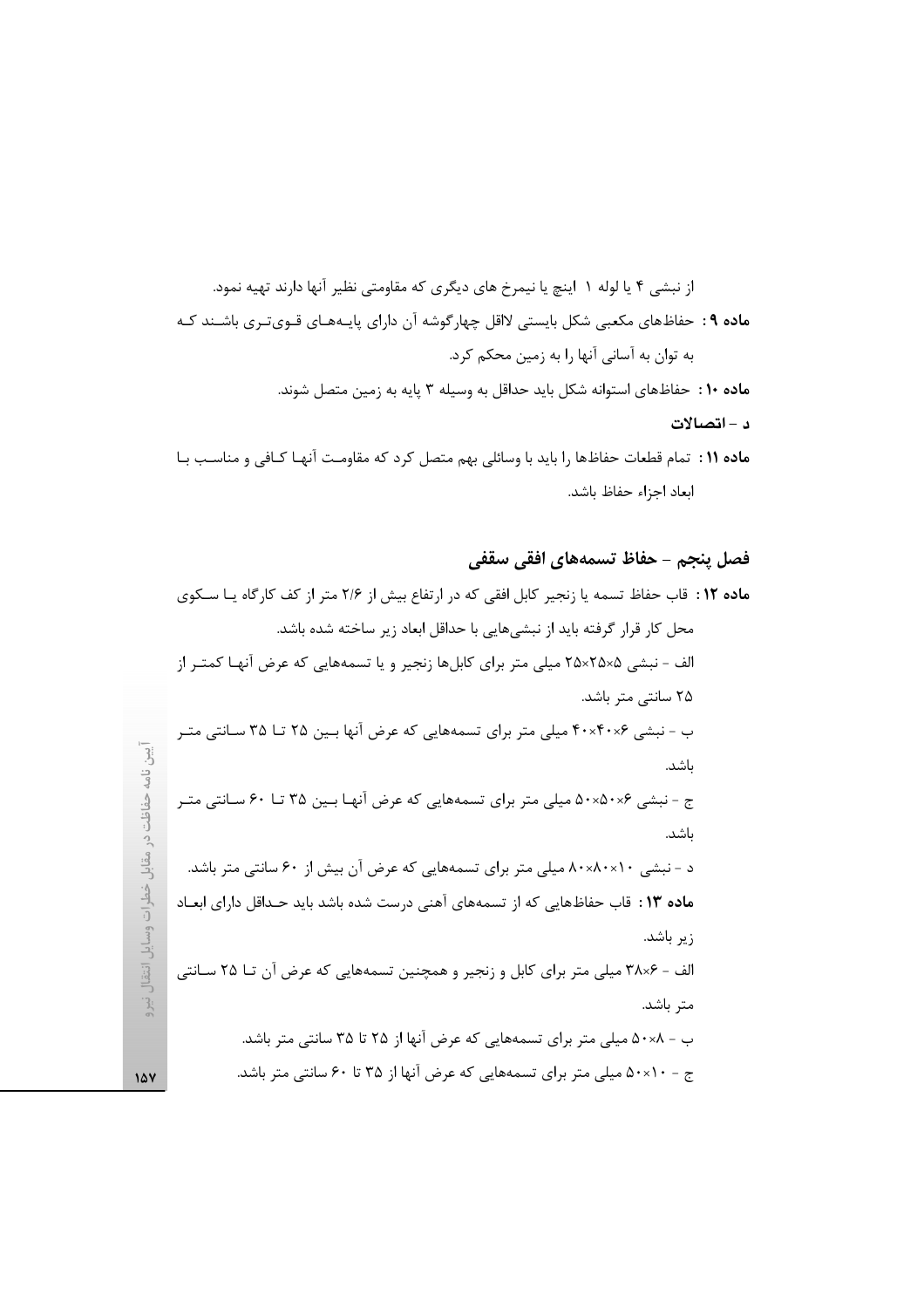از نبشی ۴ یا لوله ۱ اینچ یا نیمرخ های دیگری که مقاومتی نظیر آنها دارند تهیه نمود. ماده ۹ : حفاظهای مکعبی شکل بایستی لااقل چهارگوشه آن دارای پایـههـای قـویتـری باشـند کـه به توان به آسانی آنها را به زمین محکم کرد. ماده ١٠ : حفاظهاى استوانه شكل بايد حداقل به وسيله ٣ پايه به زمين متصل شوند. د - اتصالات ماده ۱۱ : تمام قطعات حفاظها را بايد با وسائلي بهم متصل كرد كه مقاومت آنهـا كـافي و مناسـب بـا

ابعاد اجزاء حفاظ باشد.

### فصل پنجم – حفاظ تسمههای افقی سقفی

اً یین نامه حفاظت در مقابل خطرات وسایل انتقال نیرو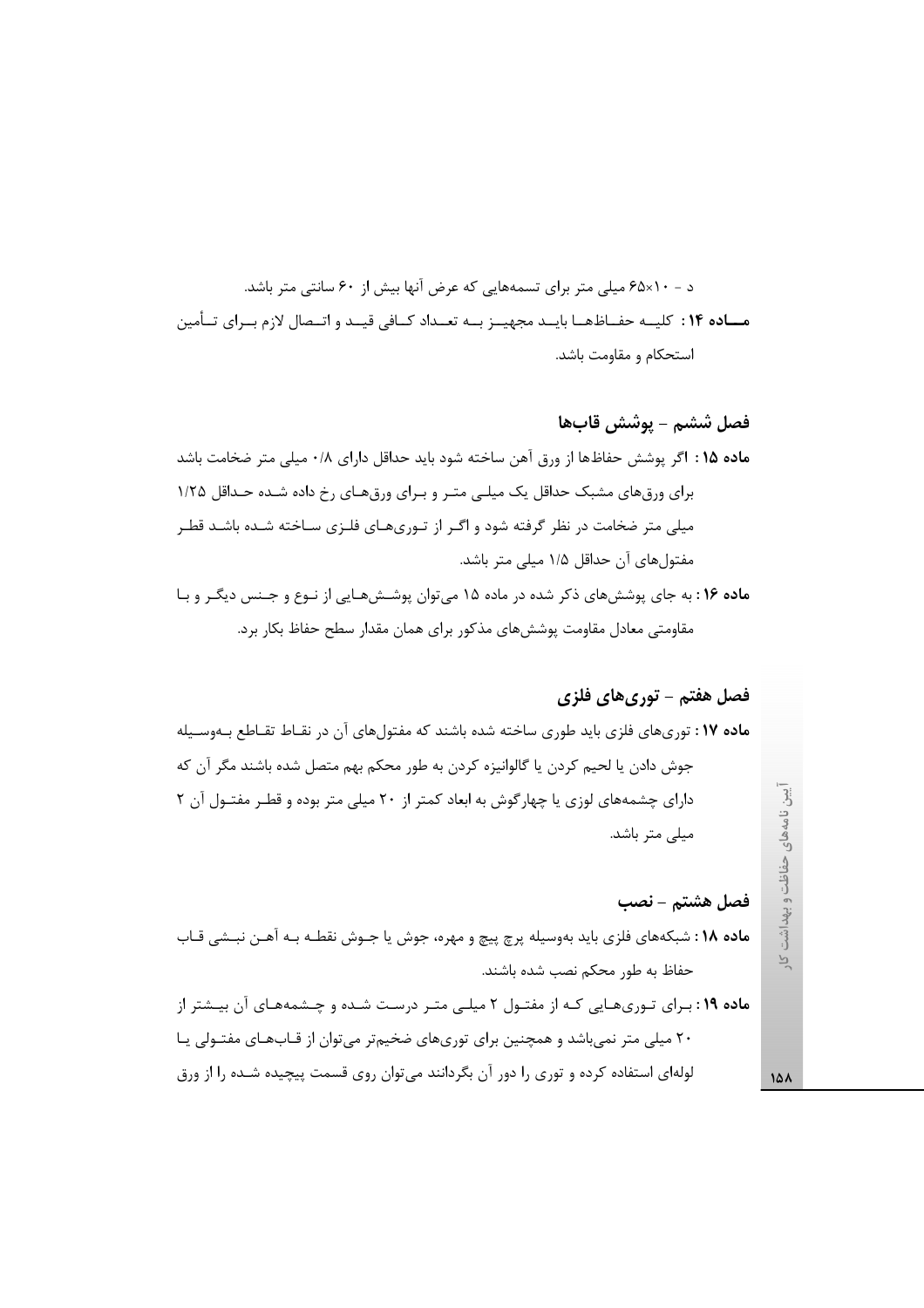د - ۶۵×۶۱ میلی متر برای تسمههایی که عرض آنها بیش از ۶۰ سانتی متر باشد. مساده ۱۴: کلیــه حفــاظهــا بایــد مجهیــز بــه تعــداد کــافی قیــد و اتــصال لازم بــرای تــأمین استحكام و مقاومت باشد.

فصل ششم – يوشش قابھا ماده ۱۵ : اگر پوشش حفاظها از ورق آهن ساخته شود باید حداقل دارای ۰/۸ میلی متر ضخامت باشد برای ورق های مشبک حداقل یک میلـی متـر و بـرای ورق هـای رخ داده شـده حـداقل ۱/۲۵ میلی متر ضخامت در نظر گرفته شود و اگـر از تـوریهـای فلـزی سـاخته شـده باشـد قطـر مفتولهای آن حداقل ۱/۵ میلی متر باشد.

ماده ۱۶: به جای پوششهای ذکر شده در ماده ۱۵ میتوان پوششهایی از نـوع و جـنس دیگـر و بـا مقاومتی معادل مقاومت پوششهای مذکور برای همان مقدار سطح حفاظ بکار برد.

### فصل هفتم - توري هاي فلزي

ماده ۱۷: توریهای فلزی باید طوری ساخته شده باشند که مفتولهای آن در نقـاط تقـاطع بـهوسـیله جوش دادن یا لحیم کردن یا گالوانیزه کردن به طور محکم بهم متصل شده باشند مگر آن که دارای چشمههای لوزی یا چهارگوش به ابعاد کمتر از ۲۰ میلی متر بوده و قطـر مفتـول آن ۲ میلی متر باشد.

#### فصل هشتم - نصب

ماده ١٨: شبكههای فلزی باید بهوسیله پرچ پیچ و مهره، جوش یا جـوش نقطـه بـه آهـن نبـشی قـاب حفاظ به طور محکم نصب شده باشند.

**ماده ۱۹** : برای توریهایی کـه از مفتـول ۲ میلـی متـر درسـت شـده و چـشمههـای آن بیـشتر از ۲۰ میلی متر نمی باشد و همچنین برای توریهای ضخیم تر می توان از قـابهـای مفتـولی یـا لولهای استفاده کرده و توری را دور آن بگردانند می توان روی قسمت پیچیده شـده را از ورق

یین نامههای حفاظت و بهداشت  $\sum_{i=1}^{n}$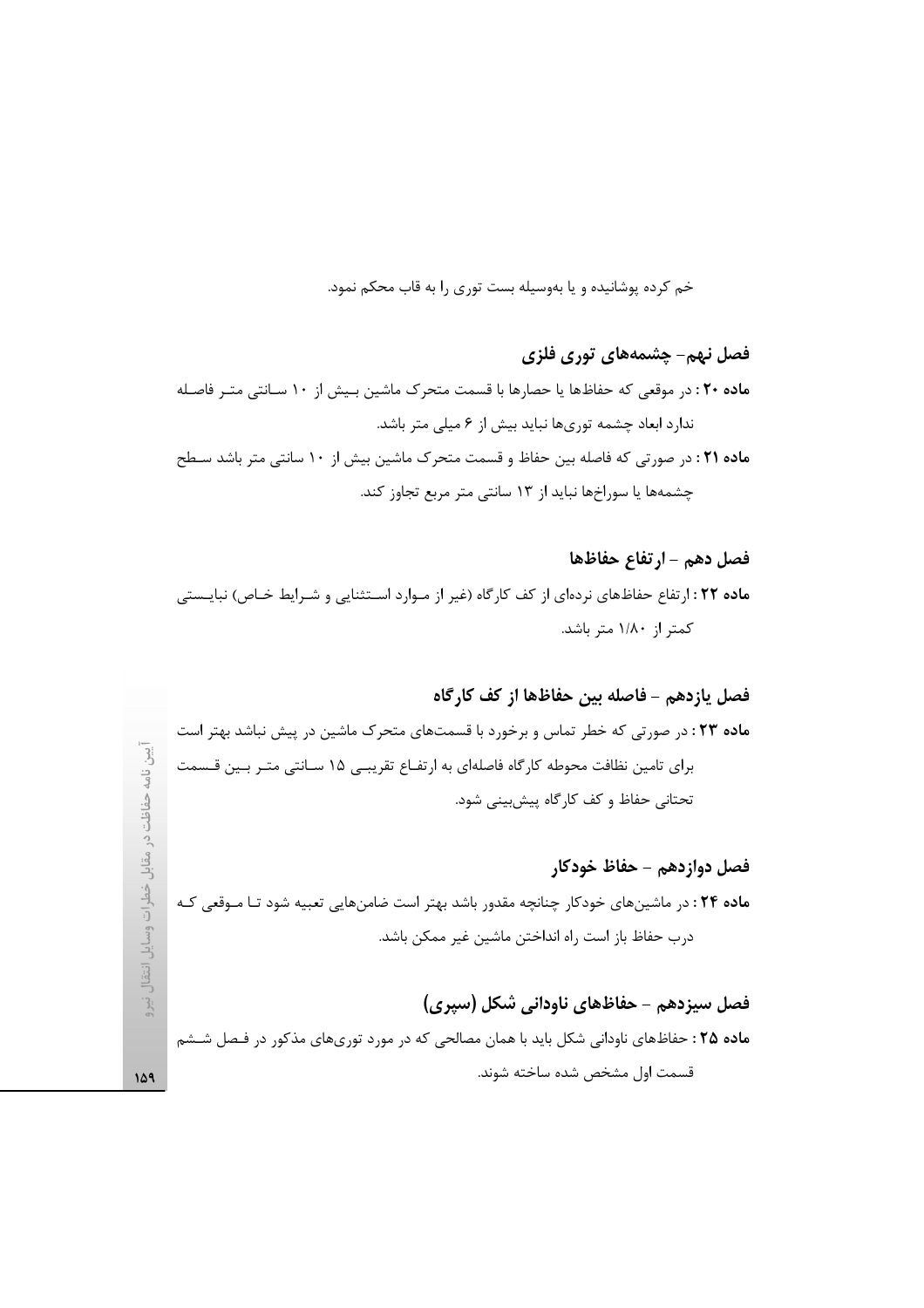خم کرده پوشانیده و یا بهوسیله بست توری را به قاب محکم نمود.

# فصل نهم- چشمههای توری فلزی ماده ۲۰: در موقعی که حفاظها یا حصارها با قسمت متحرک ماشین بـیش از ۱۰ سـانتی متـر فاصـله ندارد ابعاد چشمه توریها نباید بیش از ۶ میلی متر باشد. ماده ۲۱ : در صورتی که فاصله بین حفاظ و قسمت متحرک ماشین بیش از ۱۰ سانتی متر باشد سطح چشمهها یا سوراخها نباید از ۱۳ سانتی متر مربع تجاوز کند.

# فصل دهم - ارتفاع حفاظها ماده ٢٢ : ارتفاع حفاظهای نردهای از کف کارگاه (غیر از مـوارد اسـتثنایی و شـرایط خـاص) نبایـستی کمتر از ۱/۸۰ متر باشد.

# فصل يازدهم – فاصله بين حفاظها از كف كارگاه

ماده ۲۳: در صورتی که خطر تماس و برخورد با قسمتهای متحرک ماشین در پیش نباشد بهتر است برای تامین نظافت محوطه کارگاه فاصلهای به ارتفـاع تقریبـی ۱۵ سـانتی متـر بـین قـسمت تحتانی حفاظ و کف کارگاه پیش بینی شود.

 $\overline{\mathfrak{Z}}$ 

ر ٺاهه

حفاظت در مقابل خطرات وسایل انتقال نیرو

149

### فصل دوازدهم – حفاظ خودكار

م**اده ۲۴** : در ماشینهای خودکار چنانچه مقدور باشد بهتر است ضامنهایی تعبیه شود تـا مـوقعی کـه درب حفاظ باز است راه انداختن ماشين غير ممكن باشد.

### فصل سیزدهم - حفاظهای ناودانی شکل (سیری)

ماده ۲۵ : حفاظهای ناودانی شکل باید با همان مصالحی که در مورد توریهای مذکور در فـصل شـشم قسمت اول مشخص شده ساخته شوند.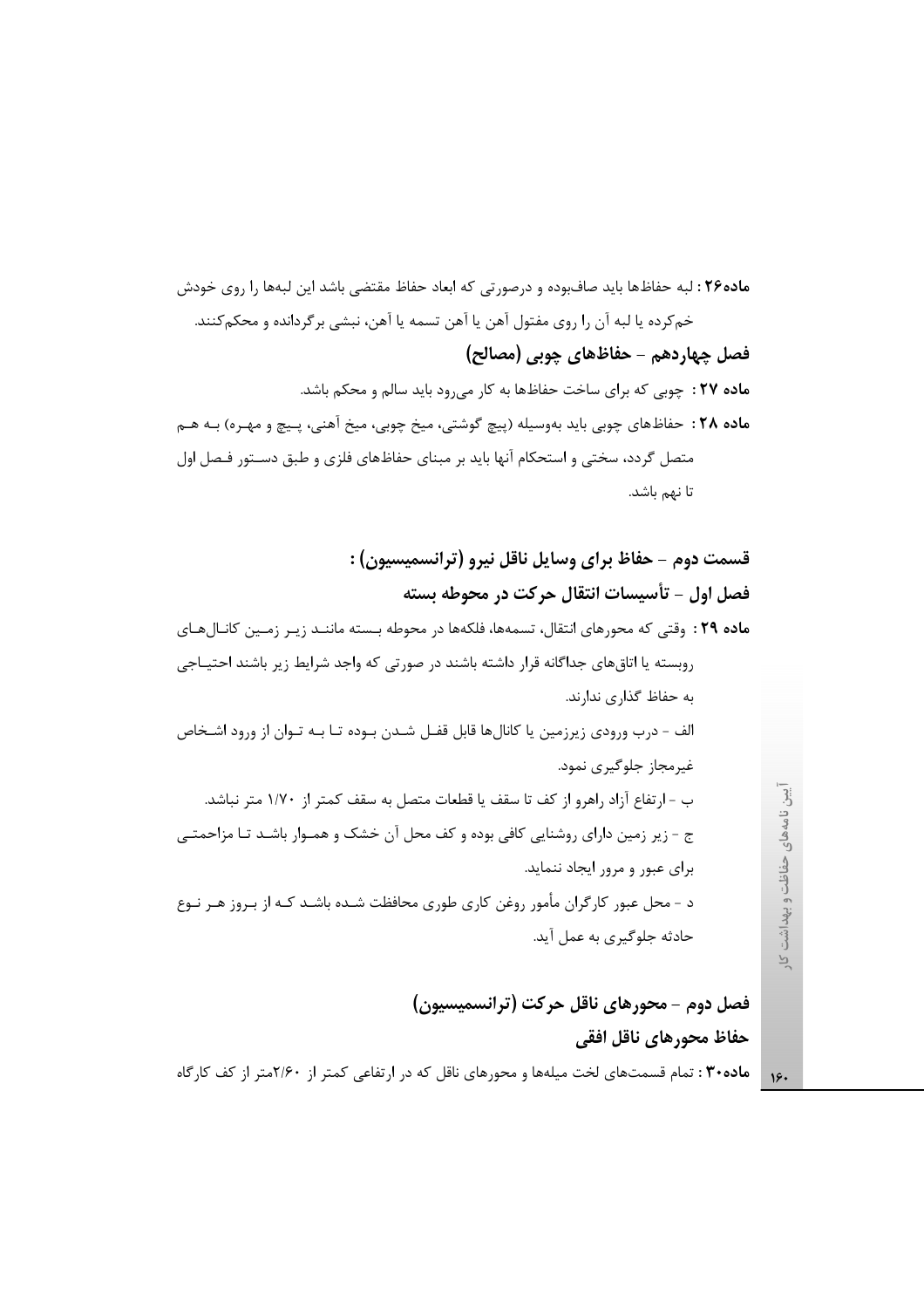ماده۲۶ : لبه حفاظها باید صافبوده و درصورتی که ابعاد حفاظ مقتضی باشد این لبهها را روی خودش خم کرده یا لبه آن ۱٫ روی مفتول آهن یا آهن تسمه یا آهن، نبشی بر گردانده و محکم کنند. فصل چهاردهم - حفاظهای چوبی (مصالح) ماده ٢٧ : چوبی که برای ساخت حفاظها به کار می رود باید سالم و محکم باشد. ماده ٢٨: حفاظهای چوبی باید بهوسیله (پیچ گوشتی، میخ چوبی، میخ آهنی، پـیچ و مهـره) بـه هـم متصل گردد، سختی و استحکام آنها باید بر مبنای حفاظهای فلزی و طبق دسـتور فـصل اول تا نهم باشد.

قسمت دوم - حفاظ براي وسايل ناقل نيرو (ترانسميسيون) : فصل اول - تأسيسات انتقال حركت در محوطه بسته ماده ٢٩ : وقتى كه محورهاى انتقال، تسمهها، فلكهها در محوطه بـسته ماننـد زيـر زمـين كانـالهـاى روبسته یا اتاق های جداگانه قرار داشته باشند در صورتی که واجد شرایط زیر باشند احتیـاجی به حفاظ گذاري ندارند. الف – درب ورودي زيرزمين يا كانالها قابل قفـل شـدن بـوده تـا بـه تـوان از ورود اشـخاص غیرمجاز جلوگیری نمود. ب – ارتفاع آزاد راهرو از كف تا سقف يا قطعات متصل به سقف كمتر از ١/٧٠ متر نباشد. ج - زیر زمین دارای روشنایی کافی بوده و کف محل آن خشک و همـوار باشـد تـا مزاحمتـی برای عبور و مرور ایجاد ننماید. د - محل عبور کارگران مأمور روغن کاری طوری محافظت شـده باشـد کـه از بـروز هـر نـوع حادثه جلوگیری به عمل آید.

> فصل دوم - محورهای ناقل حرکت (ترانسمیسیون) حفاظ محورهاي ناقل افقى

ماده۳۰ : تمام قسمتهای لخت میلهها و محورهای ناقل که در ارتفاعی کمتر از ۲/۶۰متر از کف کارگاه

یین نامههای حفاظت و بهداشت کار

 $19.$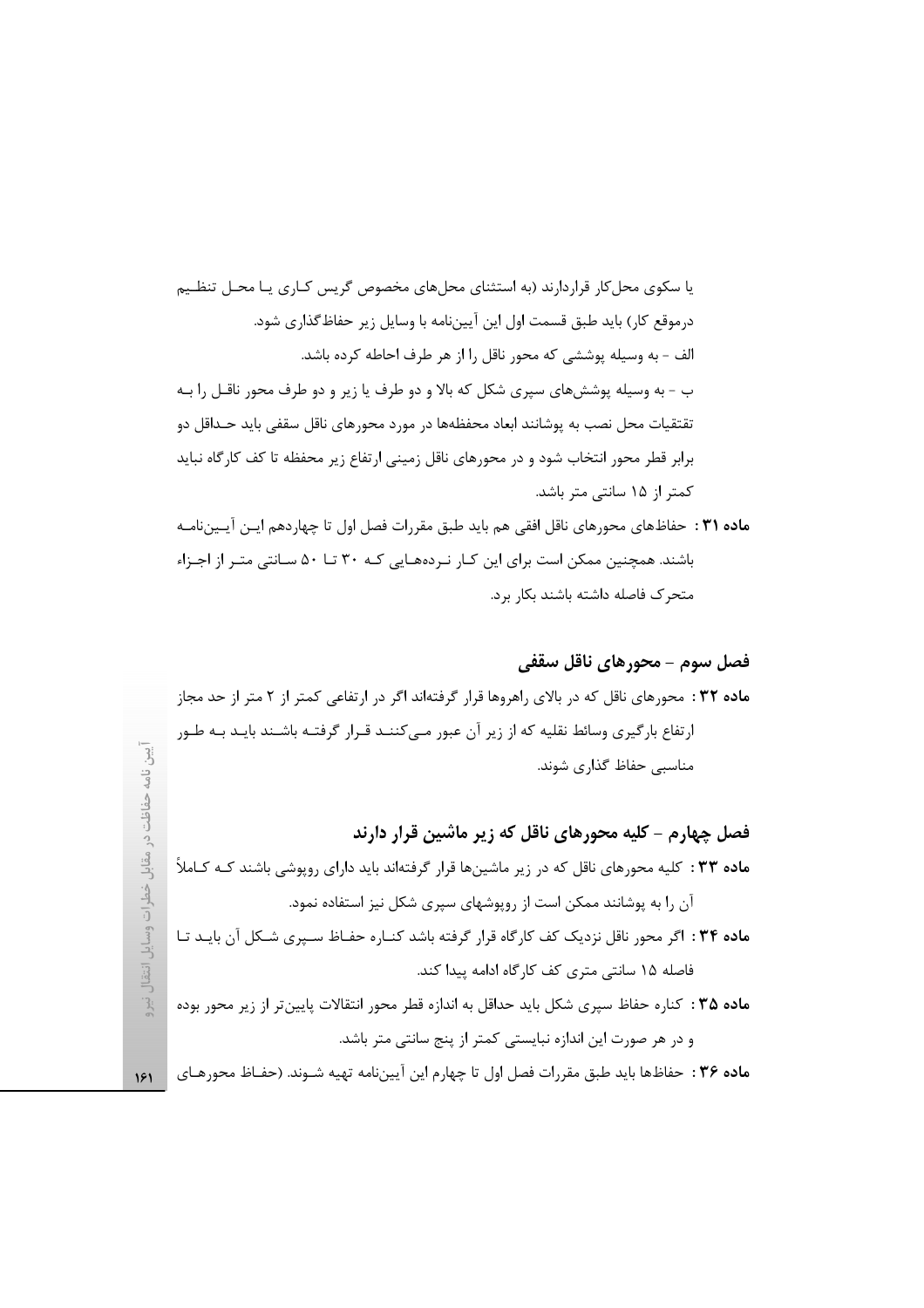یا سکوی محل کار قراردارند (به استثنای محلهای مخصوص گریس کـاری یـا محـل تنظـیم درموقع کار) باید طبق قسمت اول این آیینiامه با وسایل زیر حفاظ گذاری شود. الف - به وسيله پوششي كه محور ناقل را از هر طرف احاطه كرده باشد. ب - به وسیله پوششهای سپری شکل که بالا و دو طرف یا زیر و دو طرف محور ناقـل را بـه تقتقیات محل نصب به پوشانند ابعاد محفظهها در مورد محورهای ناقل سقفی باید حـداقل دو برابر قطر محور انتخاب شود و در محورهای ناقل زمینی ارتفاع زیر محفظه تا کف کارگاه نباید كمتر از ۱۵ سانتى متر باشد.

ماده ٣١ : حفاظهاي محورهاي ناقل افقي هم بايد طبق مقررات فصل اول تا چهاردهم ايـن آيـيننامـه باشند. همچنین ممکن است برای این کـار نـردههـایی کـه ۳۰ تـا ۵۰ سـانتی متـر از اجـزاء متحرک فاصله داشته باشند بکار برد.

### فصل سوم - محورهای ناقل سقفی

**ماده ۳۲ :** محورهای ناقل که در بالای راهروها قرار گرفتهاند اگر در ارتفاعی کمتر از ۲ متر از حد مجاز ارتفاع بارگیری وسائط نقلیه که از زیر آن عبور مـیکننـد قـرار گرفتـه باشـند بایـد بـه طـور مناسبی حفاظ گذاری شوند.

فصل چهارم – کلیه محورهای ناقل که زیر ماشین قرار دارند م**اده ۳۳** : کلیه محورهای ناقل که در زیر ماشینها قرار گرفتهاند باید دارای روپوشی باشند کـه کـاملاً آن را به پوشانند ممکن است از روپوشهای سپری شکل نیز استفاده نمود. ماده ۳۴ : اگر محور ناقل نزدیک کف کارگاه قرار گرفته باشد کنـاره حفـاظ سـپری شـکل آن بایـد تـا

فاصله ۱۵ سانتی متری کف کارگاه ادامه پیدا کند.

ماده ۳۵ : کناره حفاظ سیری شکل باید حداقل به اندازه قطر محور انتقالات پایین تر از زیر محور بوده و در هر صورت این اندازه نبایستی کمتر از پنج سانتی متر باشد.

ماده ٣۶ : حفاظها بايد طبق مقررات فصل اول تا چهارم اين آييننامه تهيه شــوند. (حفــاظ محورهـاي

 $151$ 

 $\frac{1}{2}$ 

 $\overline{3}$ 

نامه

حفاظت

مقابل خطرات وسايل انتقال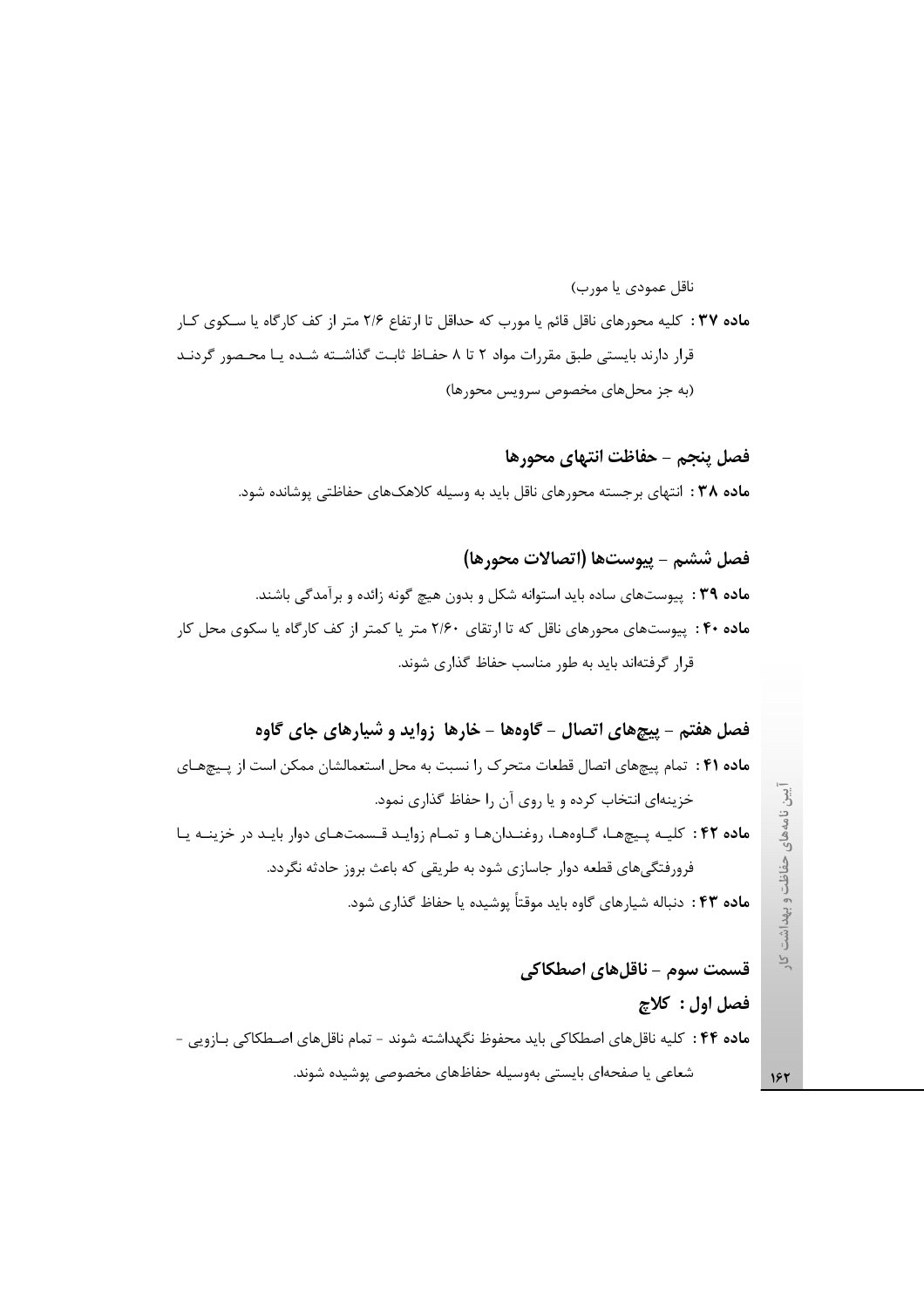ماده ۳۷ : كليه محورهاي ناقل قائم يا مورب كه حداقل تا ارتفاع ۲/۶ متر از كف كارگاه يا سكوى كـار قرار دارند بایستی طبق مقررات مواد ۲ تا ۸ حفـاظ ثابـت گذاشـته شـده یـا محـصور گردنـد (به جز محلهای مخصوص سرویس محورها)

فصل ينجم – حفاظت انتهاى محورها ماده ۳۸ : انتهای برجسته محورهای ناقل باید به وسیله کلاهکهای حفاظتی پوشانده شود.

ناقل عمودي يا مورب)

فصل ششم - ييوستها (اتصالات محورها) ماده ۳۹ : پیوستهای ساده باید استوانه شکل و بدون هیچ گونه زائده و برآمدگی باشند. م**اده ۴۰ :** پیوستهای محورهای ناقل که تا ارتقای ۲/۶۰ متر یا کمتر از کف کارگاه یا سکوی محل کار قرار گرفتهاند باید به طور مناسب حفاظ گذاری شوند.

فصل هفتم – پیچهای اتصال – گاوهها – خارها زواید و شیارهای جای گاوه ماده ۴۱ : تمام پیچهای اتصال قطعات متحرک را نسبت به محل استعمالشان ممکن است از پیچهای خزینهای انتخاب کرده و یا روی آن را حفاظ گذاری نمود. ماده ۴۲: كليـه پيچهـا، گـاوههـا، روغنـدانهـا و تمـام زوايـد قـسمتهـاى دوار بايـد در خزينـه يـا فرورفتگیهای قطعه دوار جاسازی شود به طریقی که باعث بروز حادثه نگردد. **ماده ۴۳** : دنباله شیا<sub>ر</sub>های گاوه باید موقتاً پوشیده یا حفاظ گذاری شود.

قسمت سوم – ناقلهای اصطکاکی فصل اول : كلاچ ماده ۴۴ : كليه ناقلهاي اصطكاكي بايد محفوظ نگهداشته شوند - تمام ناقلهاي اصطكاكي بـازويي -شعاعی یا صفحهای بایستی بهوسیله حفاظهای مخصوصی پوشیده شوند.

یین نامههای حفاظت و بهداشت  $\overline{P}$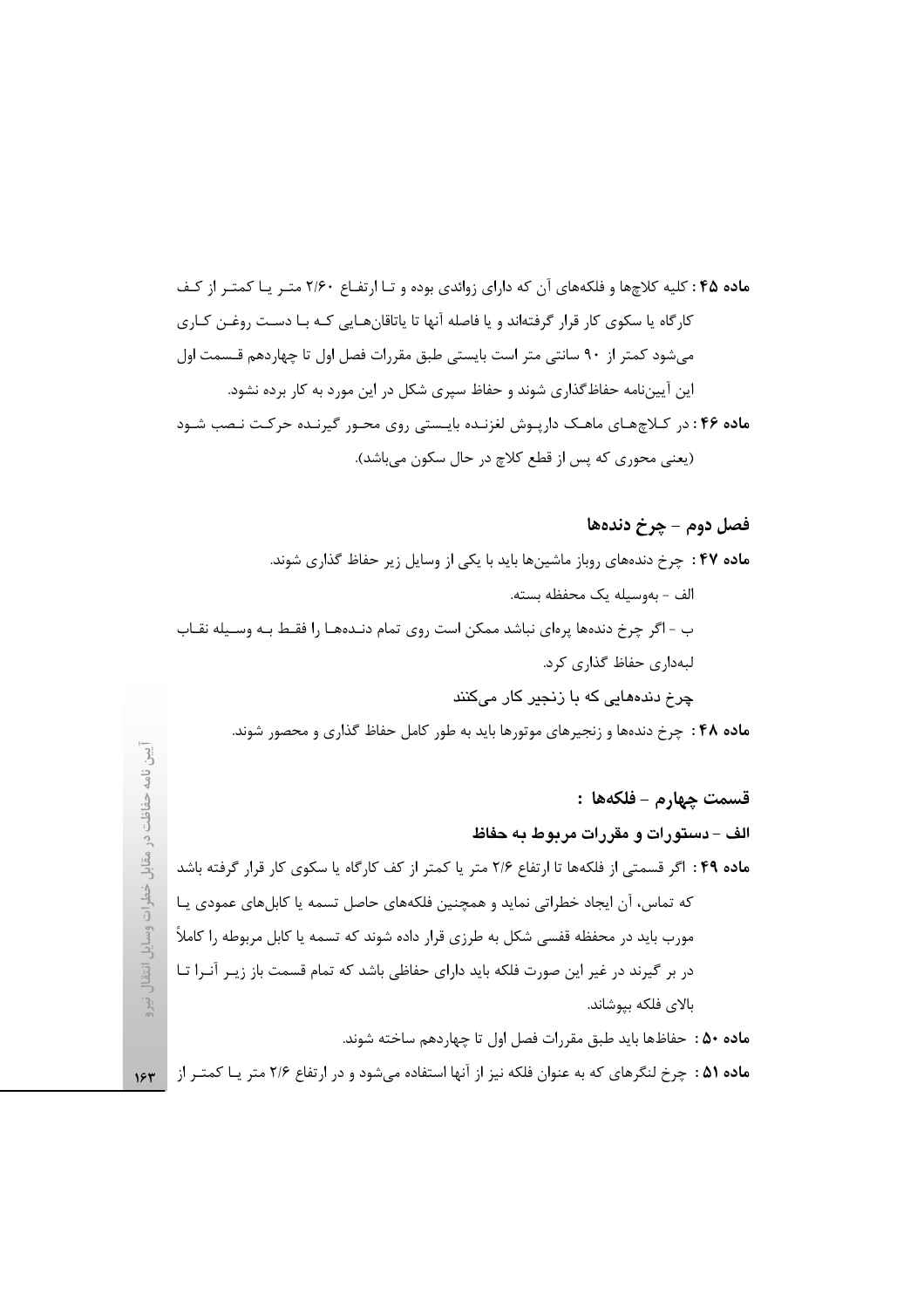ماده ۴۵ : کلیه کلاچها و فلکههای آن که دارای زوائدی بوده و تـا ارتفـاع ۲/۶۰ متـر یـا کمتـر از کـف کارگاه یا سکوی کار قرار گرفتهاند و یا فاصله آنها تا یاتاقانهـایی کـه بـا دسـت روغـن کـاری میشود کمتر از ۹۰ سانتی متر است بایستی طبق مقررات فصل اول تا چهاردهم قـسمت اول این آییننامه حفاظگذاری شوند و حفاظ سپری شکل در این مورد به کار برده نشود. ماده ۴۶: در کلاچهای ماهک دارپوش لغزنده بایستی روی محور گیرنده حرکت نصب شود (يعني محوري كه پس از قطع كلاچ در حال سكون مي باشد).

فصل دوم - چرخ دندهها ماده ۴۷ : چرخ دندههای روباز ماشینها باید با یکی از وسایل زیر حفاظ گذاری شوند. الف – بەوسيلە يک محفظه بسته. ب - اگر چرخ دندهها پرهای نباشد ممکن است روی تمام دنـدههـا را فقـط بـه وسـيله نقـاب لبهداری حفاظ گذاری کرد. چرخ دندههایی که با زنجیر کار میکنند ماده ۴۸ : چرخ دندهها و زنجیرهای موتورها باید به طور کامل حفاظ گذاری و محصور شوند.

قسمت چهارم - فلكهها : الف – دستورات و مقررات مربوط به حفاظ ماده ۴۹ : اگر قسمتی از فلکهها تا ارتفاع ۲/۶ متر یا کمتر از کف کارگاه یا سکوی کار قرار گرفته باشد که تماس، آن ایجاد خطراتی نماید و همچنین فلکههای حاصل تسمه یا کابلهای عمودی یـا مورب باید در محفظه قفسی شکل به طرزی قرار داده شوند که تسمه یا کابل مربوطه را کاملاً در بر گیرند در غیر این صورت فلکه باید دارای حفاظی باشد که تمام قسمت باز زیـر آنـرا تـا بالای فلکه بپوشاند. **ماده ۵۰ :** حفاظها بايد طبق مقررات فصل اول تا چهاردهم ساخته شوند.

 $\overline{3}$ نامه

حفاظت

 $\tilde{c}$ مقابل

خطرات وسايل انتقاا

 $\cdot$  3:

ماده ۵۱ : چرخ لنگرهای که به عنوان فلکه نیز از آنها استفاده میشود و در ارتفاع ۲/۶ متر یـا کمتـر از ۱۶۳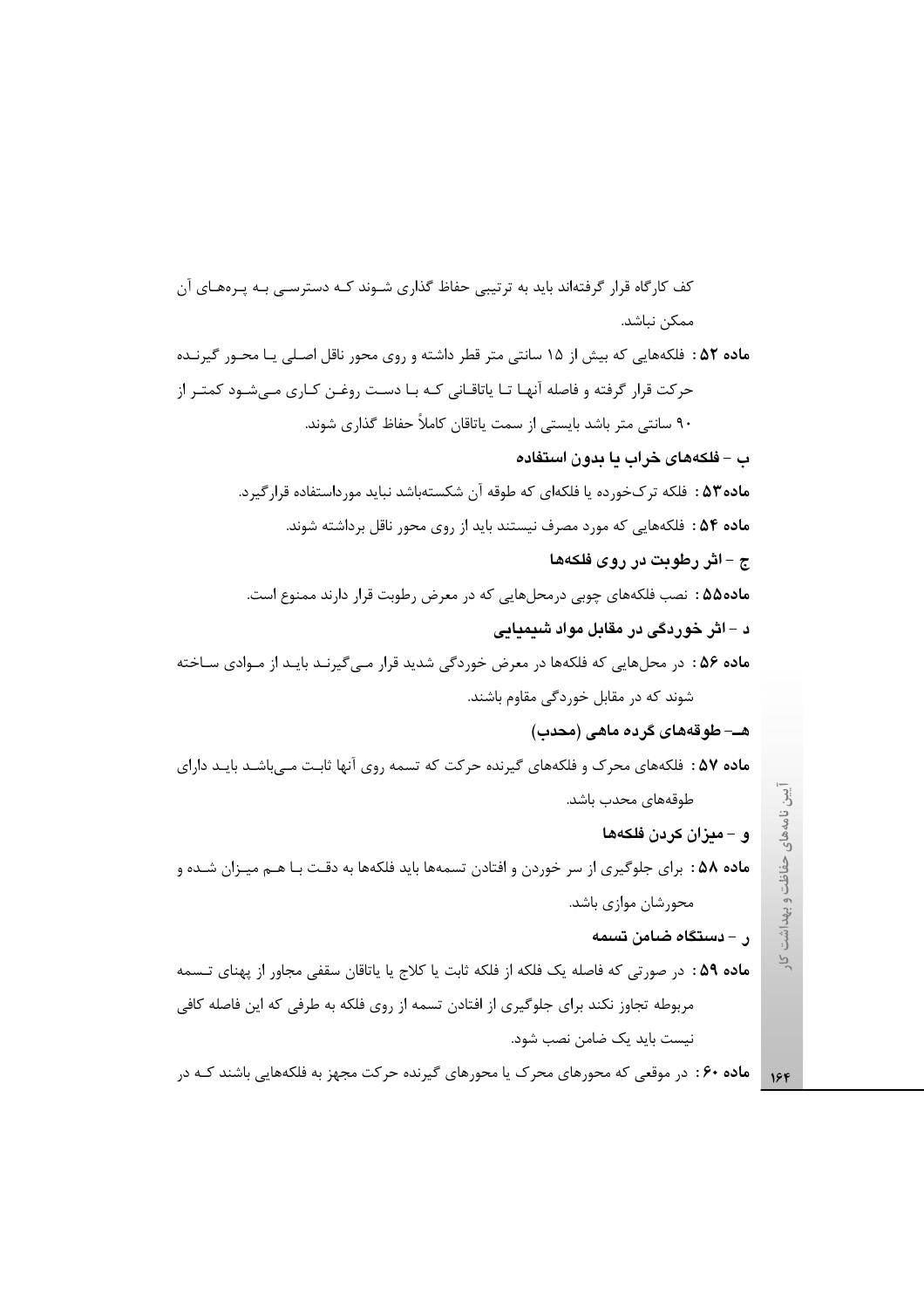کف کارگاه قرار گرفتهاند باید به ترتیبی حفاظ گذاری شـوند کـه دسترسـی بـه پـرههـای آن ممكن نباشد. ماده ۵۲ : فلکههایی که بیش از ۱۵ سانتی متر قطر داشته و روی محور ناقل اصلی یـا محـور گیرنـده حرکت قرار گرفته و فاصله آنهـا تـا ياتاقـاني کـه بـا دسـت روغـن کـاري مـيشـود کمتـر از ۹۰ سانتی متر باشد بایستی از سمت یاتاقان کاملاً حفاظ گذاری شوند. ب – فلکههای خراب یا بدون استفاده **ماده۵۳ :** فلکه ترکخورده یا فلکهای که طوقه آن شکستهباشد نباید مورداستفاده قرارگیرد. ماده ۵۴ : فلكههايي كه مورد مصرف نيستند بايد از روى محور ناقل برداشته شوند. ج – اثر رطوبت در روی فلکهها ماده۵۵ : نصب فلكههای چوبی درمحلهایی كه در معرض رطوبت قرار دارند ممنوع است. د – اثر خوردگی در مقابل مواد شیمیایی ماده ۵۶ : در محلهایی که فلکهها در معرض خوردگی شدید قرار مـیگیرنـد بایـد از مـوادی سـاخته شوند که در مقابل خوردگی مقاوم باشند. هـــ طوقههای گرده ماهی (محدب) م**اده ۵۷** : فلکههای محرک و فلکههای گیرنده حرکت که تسمه روی آنها ثابت مےباشـد بایـد دارای آيين نامههاي حفاظت و بهداشت طوقەھاي محدب باشد. و – میزان کردن فلکهها م**اده ۵۸ :** برای جلوگیری از سر خوردن و افتادن تسمهها باید فلکهها به دقـت بـا هـم میـزان شـده و محورشان موازی باشد. ر – دستگاه ضامن تسمه  $\overline{P}$ ماده ۵۹ : در صورتی که فاصله یک فلکه از فلکه ثابت یا کلاج یا یاتاقان سقفی مجاور از پهنای تـسمه مربوطه تجاوز نکند برای جلوگیری از افتادن تسمه از روی فلکه به طرفی که این فاصله کافی نیست باید یک ضامن نصب شود.

**ماده ۶۰**: در موقعی که محورهای محرک یا محورهای گیرنده حرکت مجهز به فلکههایی باشند کـه در  $156$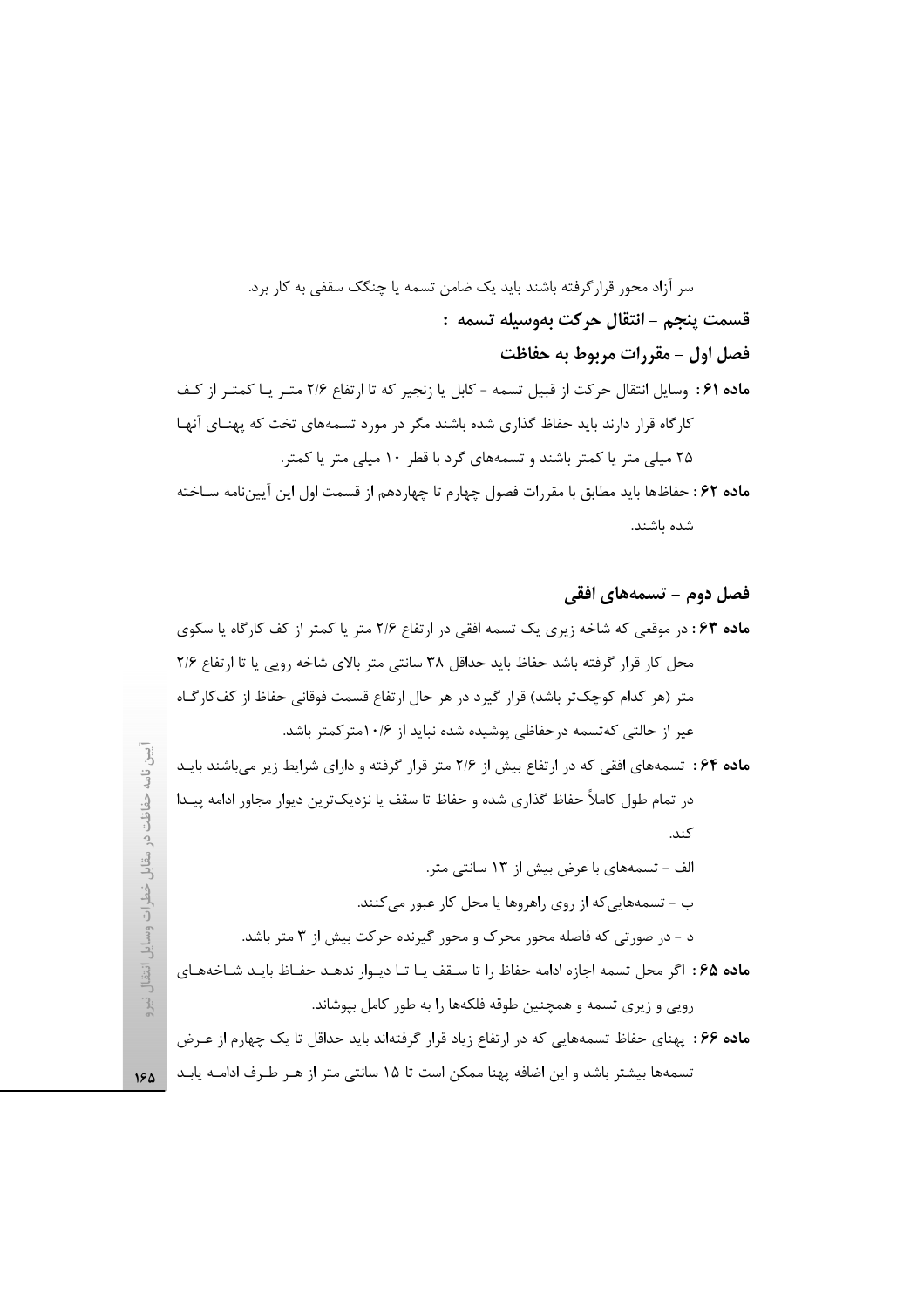سر آزاد محور قرارگرفته باشند باید یک ضامن تسمه یا چنگک سقفی به کار برد. قسمت ينجم - انتقال حركت بهوسيله تسمه : فصل اول - مقررات مربوط به حفاظت ماده ۶۱ : وسایل انتقال حرکت از قبیل تسمه - کابل یا زنجیر که تا ارتفاع ۲/۶ متـر یـا کمتـر از کـف کارگاه قرار دارند باید حفاظ گذاری شده باشند مگر در مورد تسمههای تخت که پهنـای آنهـا ۲۵ میلی متر یا کمتر باشند و تسمههای گرد با قطر ۱۰ میلی متر یا کمتر. م**اده ۶۲**: حفاظها بايد مطابق با مقررات فصول چهارم تا چهاردهم از قسمت اول اين آيينiامه سـاخته

شده باشند.

فصل دوم – تسمههای افقی ماده ۶۳: در موقعی که شاخه زیری یک تسمه افقی در ارتفاع ۲/۶ متر یا کمتر از کف کارگاه یا سکوی محل كار قرار گرفته باشد حفاظ بايد حداقل ٣٨ سانتي متر بالاي شاخه رويي يا تا ارتفاع ٢/۶ متر (هر كدام كوچك تر باشد) قرار گيرد در هر حال ارتفاع قسمت فوقاني حفاظ از كفكارگــاه غیر از حالتی کهتسمه درحفاظی پوشیده شده نباید از ۱۰/۶متر کمتر باشد. ماده ۶۴: تسمههای افقی که در ارتفاع بیش از ۲/۶ متر قرار گرفته و دارای شرایط زیر میباشند بایـد در تمام طول كاملاً حفاظ گذارى شده و حفاظ تا سقف يا نزديکترين ديوار مجاور ادامه پيـدا كند. الف – تسمههای با عرض بیش از ۱۳ سانتی متر. ب - تسمههاییکه از روی راهروها یا محل کار عبور میکنند. د - در صورتی که فاصله محور محرک و محور گیرنده حرکت بیش از ۳ متر باشد. ماده ۶۵: اگر محل تسمه اجازه ادامه حفاظ را تا سـقف یـا تـا دیـوار ندهـد حفـاظ بایـد شـاخههـای رویی و زیری تسمه و همچنین طوقه فلکهها را به طور کامل بپوشاند. **ماده ۶۶**: پهنای حفاظ تسمههایی که در ارتفاع زیاد قرار گرفتهاند باید حداقل تا یک چهارم از عـرض تسمهها بیشتر باشد و این اضافه پهنا ممکن است تا ۱۵ سانتی متر از هـر طـرف ادامــه یابـد |

حفاظت در مقابل خطرات وسايل انتقال آبرو  $15<sub>A</sub>$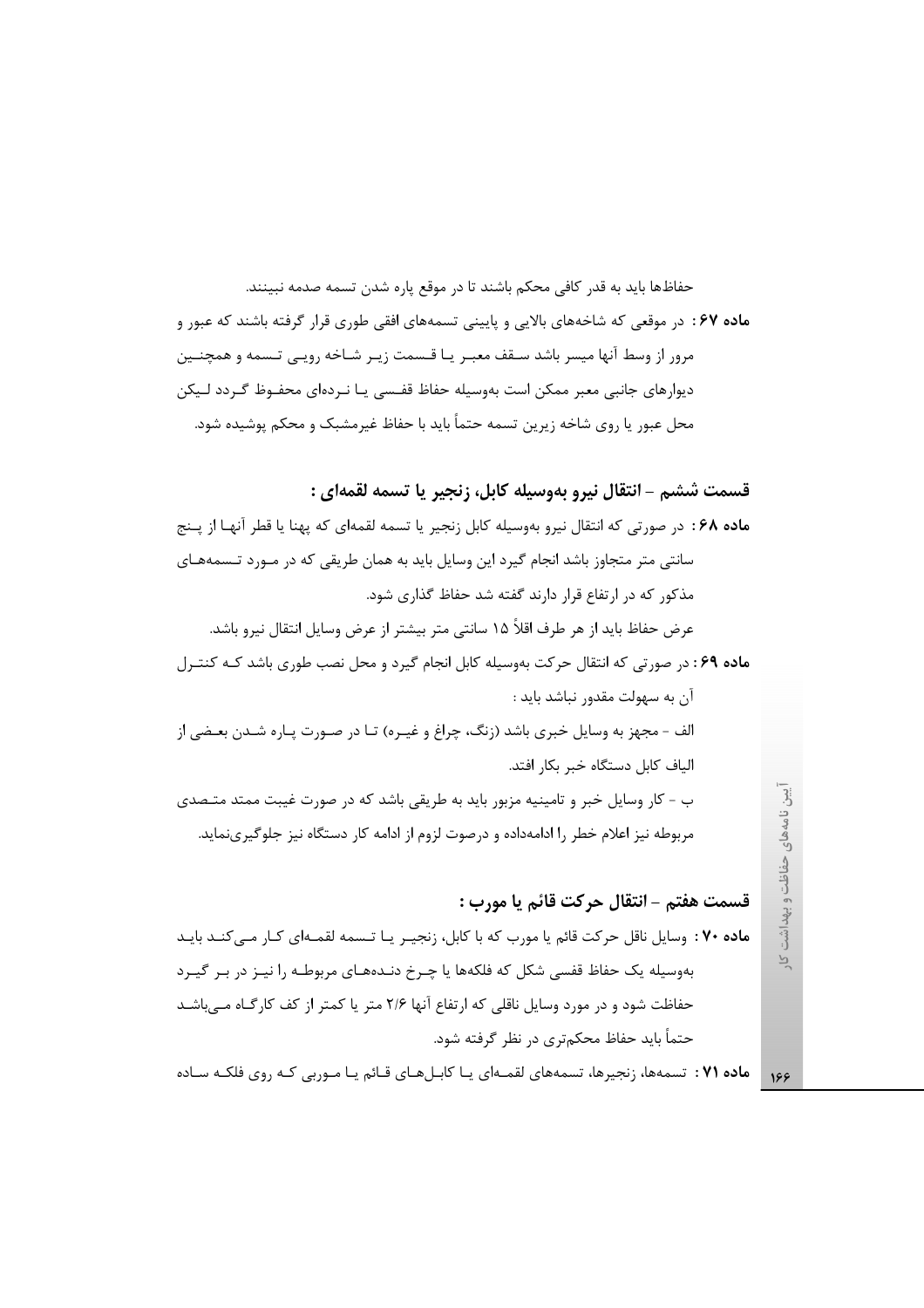حفاظها بايد به قدر كافي محكم باشند تا در موقع ياره شدن تسمه صدمه نبينند. ماده ۶۷: در موقعی که شاخههای بالایی و پایینی تسمههای افقی طوری قرار گرفته باشند که عبور و مرور از وسط آنها میسر باشد سـقف معبـر یـا قـسمت زیـر شـاخه رویـی تـسمه و همچنـین دیوارهای جانبی معبر ممکن است بهوسیله حفاظ قفـسی یـا نـردهای محفـوظ گـردد لـیکن محل عبور یا روی شاخه زیرین تسمه حتماً باید با حفاظ غیرمشبک و محکم پوشیده شود.

قسمت ششم - انتقال نيرو بهوسيله كابل، زنجير يا تسمه لقمهاي :

ماده ۶۸: در صورتی که انتقال نیرو بهوسیله کابل زنجیر یا تسمه لقمهای که یهنا یا قطر آنهـا از پـنج سانتی متر متجاوز باشد انجام گیرد این وسایل باید به همان طریقی که در مـورد تـسمههـای مذکور که در ارتفاع قرار دارند گفته شد حفاظ گذاری شود. عرض حفاظ بايد از هر طرف اقلاً ۱۵ سانتي متر بيشتر از عرض وسايل انتقال نيرو باشد.

ماده ۶۹: در صورتی که انتقال حرکت بهوسیله کابل انجام گیرد و محل نصب طوری باشد کـه کنتـرل آن به سهولت مقدور نباشد باید :

الف - مجهز به وسایل خبری باشد (زنگ، چراغ و غیـره) تـا در صـورت پـاره شـدن بعـضی از الياف كابل دستگاه خبر بكار افتد.

ب - کار وسایل خبر و تامینیه مزبور باید به طریقی باشد که در صورت غیبت ممتد متـصدی مربوطه نیز اعلام خطر را ادامهداده و درصوت لزوم از ادامه کار دستگاه نیز جلوگیرینماید.

### قسمت هفتم - انتقال حركت قائم يا مورب :

ماده ۷۰ : وسایل ناقل حرکت قائم یا مورب که با کابل، زنجیـر یـا تـسمه لقمـهای کـار مـیکنـد بایـد بهوسیله یک حفاظ قفسی شکل که فلکهها یا چـرخ دنـدههـای مربوطـه را نیـز در بـر گیـرد حفاظت شود و در مورد وسایل ناقلی که ارتفاع آنها ۲/۶ متر یا کمتر از کف کارگـاه مــی باشــد حتماً باید حفاظ محکمتری در نظر گرفته شود.

م**اده ۷۱** : تسمهها، زنجیرها، تسمههای لقمـهای یـا کابـلهـای قـائم یـا مـوربی کـه روی فلکـه سـاده 188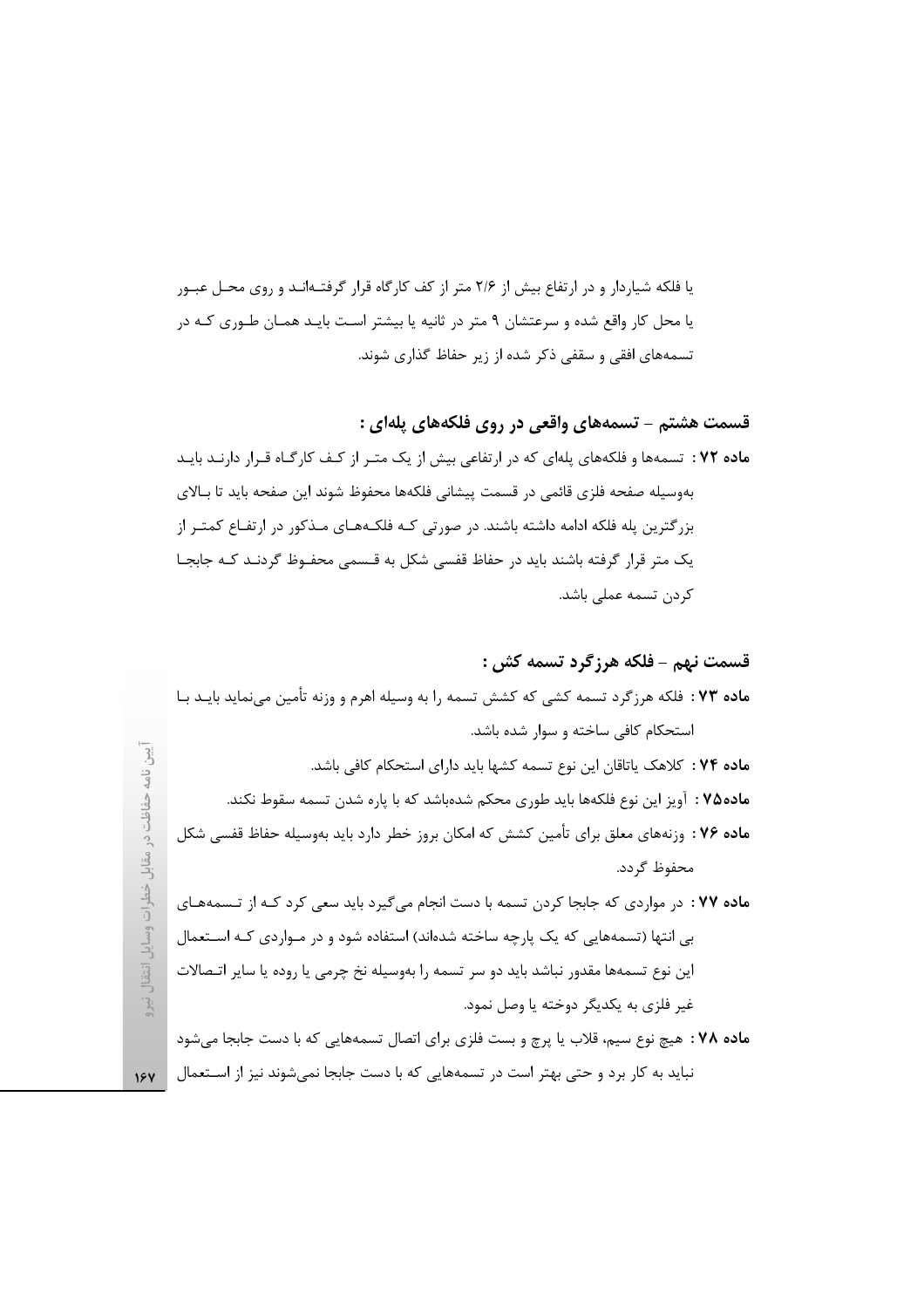یا فلکه شیاردار و در ارتفاع بیش از ۲/۶ متر از کف کارگاه قرار گرفتـهانـد و روی محـل عبـور یا محل کار واقع شده و سرعتشان ۹ متر در ثانیه یا بیشتر است بایـد همـان طـوری کـه در تسمههای افقی و سقفی ذکر شده از زیر حفاظ گذاری شوند.

قسمت هشتم - تسمههای واقعی در روی فلکههای پلهای :

ماده ۷۲ : تسمهها و فلکههای پلهای که در ارتفاعی بیش از یک متـر از کـف کارگـاه قـرار دارنـد بایـد بهوسيله صفحه فلزى قائمي در قسمت پيشاني فلكهها محفوظ شوند اين صفحه بايد تا بـالاي بزرگترین پله فلکه ادامه داشته باشند. در صورتی کـه فلکـههـای مـذکور در ارتفـاع کمتـر از یک متر قرار گرفته باشند باید در حفاظ قفسی شکل به قـسمی محفـوظ گردنـد کـه جابجـا كردن تسمه عملي باشد.

## قسمت نهم - فلكه هرزگرد تسمه كش :

| <b>ماده ۷۳</b> : فلکه هرزگرد تسمه کشی که کشش تسمه را به وسیله اهرم و وزنه تأمین مینماید بایـد بـا |
|---------------------------------------------------------------------------------------------------|
| استحکام کافی ساخته و سوار شده باشد.                                                               |
| <b>ماده ۷۴ :</b> کلاهک یاتاقان این نوع تسمه کشها باید دارای استحکام کافی باشد.                    |
| م <b>اده ۷۵</b> : آویز این نوع فلکهها باید طوری محکم شدهباشد که با پاره شدن تسمه سقوط نکند.       |
| م <b>اده ۷۶</b> : وزنههای معلق برای تأمین کشش که امکان بروز خطر دارد باید بهوسیله حفاظ قفسی شکل   |
|                                                                                                   |
| محفوظ گردد.                                                                                       |
| ماده ۷۷ : در مواردی که جابجا کردن تسمه با دست انجام میگیرد باید سعی کرد کـه از تـسمههـای          |
| بی انتها (تسمههایی که یک پارچه ساخته شدهاند) استفاده شود و در مـواردی کـه اســتعمال               |
| این نوع تسمهها مقدور نباشد باید دو سر تسمه را بهوسیله نخ چرمی یا روده یا سایر اتـصالات            |

ماده ۷۸ : هیچ نوع سیم، قلاب یا پرچ و بست فلزی برای اتصال تسمههایی که با دست جابجا می شود نباید به کار برد و حتی بهتر است در تسمههایی که با دست جابجا نمیشوند نیز از استعمال <sub>1۶۷</sub>

حفاظت در مقابل خط ات وسايل انتقال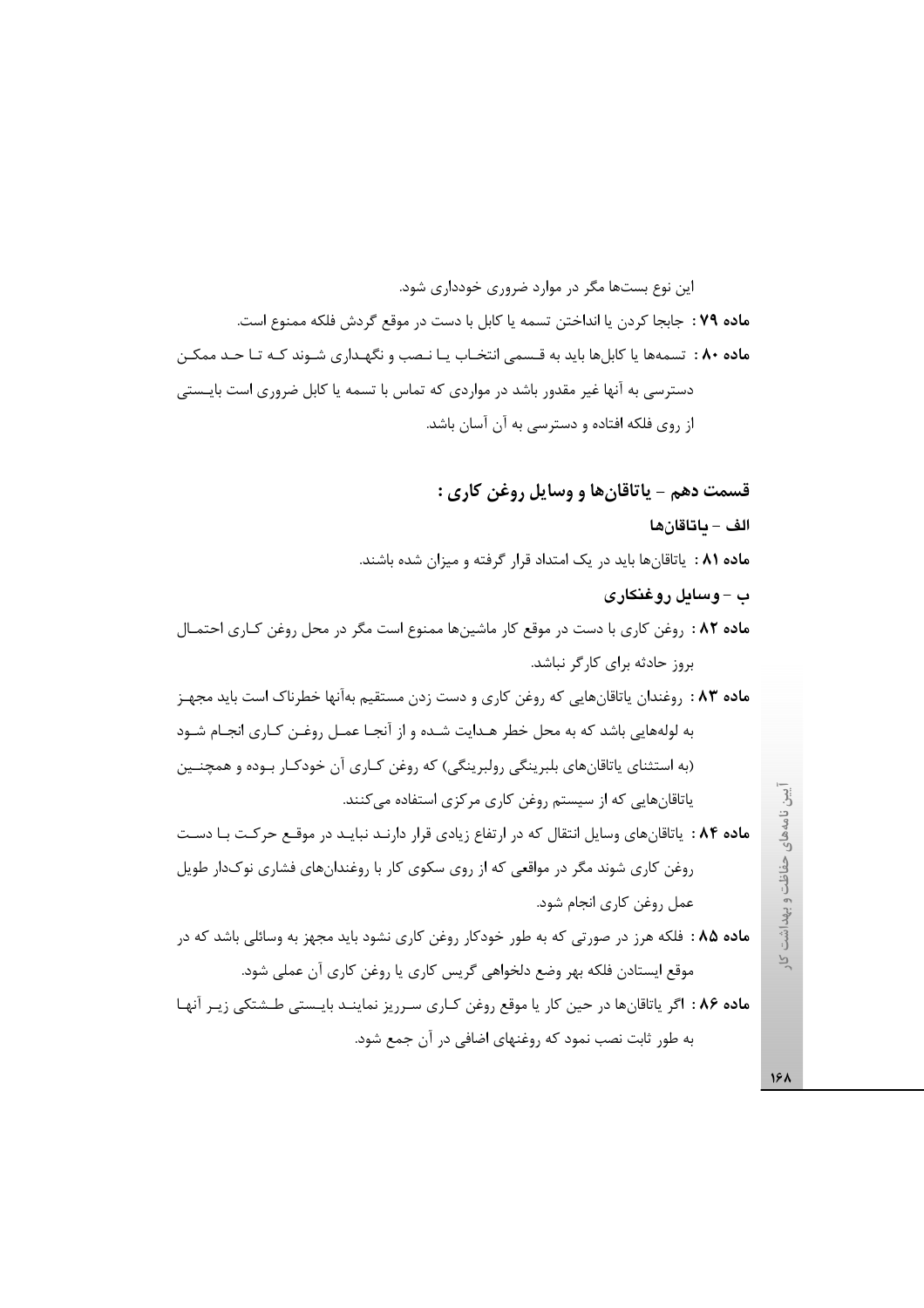این نوع بستها مگر در موارد ضروری خودداری شود. ماده ٧٩ : جابجا كردن يا انداختن تسمه يا كابل با دست در موقع گردش فلكه ممنوع است. ماده ۸۰ : تسمهها یا کابلها باید به قـسمی انتخـاب یـا نـصب و نگهـداری شـوند کـه تـا حـد ممکـن دسترسی به آنها غیر مقدور باشد در مواردی که تماس با تسمه یا کابل ضروری است بایـستی از روی فلکه افتاده و دسترسی به آن آسان باشد.

قسمت دهم – ياتاقان ها و وسايل روغن كارى :

الف – ماتاقانها

ماده ۸۱ : پاتاقانها باید در یک امتداد قرار گرفته و میزان شده باشند.

ب – وسايل روغنكاري

ماده ۸۲ : روغن کاری با دست در موقع کار ماشینها ممنوع است مگر در محل روغن کـاری احتمـال بروز حادثه برای کارگر نباشد.

م**اده ۸۳** . روغندان پاتاقانهایی که روغن کاری و دست زدن مستقیم بهآنها خطرناک است باید مجهـز به لولههایی باشد که به محل خطر هـدایت شـده و از آنجـا عمـل روغـن کـاری انجـام شـود (به استثناي ياتاقانهاي بلبرينگي رولبرينگي) كه روغن كـاري آن خودكـار بـوده و همچنـين یاتاقانهایی که از سیستم روغن کاری مرکزی استفاده می کنند.

ماده ۸۴ : ياتاقان هاى وسايل انتقال كه در ارتفاع زيادى قرار دارنـد نبايـد در موقـع حركـت بـا دسـت روغن کاری شوند مگر در مواقعی که از روی سکوی کار با روغندانهای فشاری نوکدار طویل عمل روغن كاري انجام شود.

م**اده ۸۵ :** فلکه هرز در صورتی که به طور خودکار روغن کاری نشود باید مجهز به وسائلی باشد که در موقع ایستادن فلکه بهر وضع دلخواهی گریس کاری یا روغن کاری آن عملی شود.

ماده ۸۶ : اگر پاتاقانها در حین کار یا موقع روغن کـاری سـرریز نماینـد بایـستی طـشتکی زیـر آنهـا به طور ثابت نصب نمود که روغنهای اضافی در آن جمع شود.

، نامههای حفاظت و بهداشت کار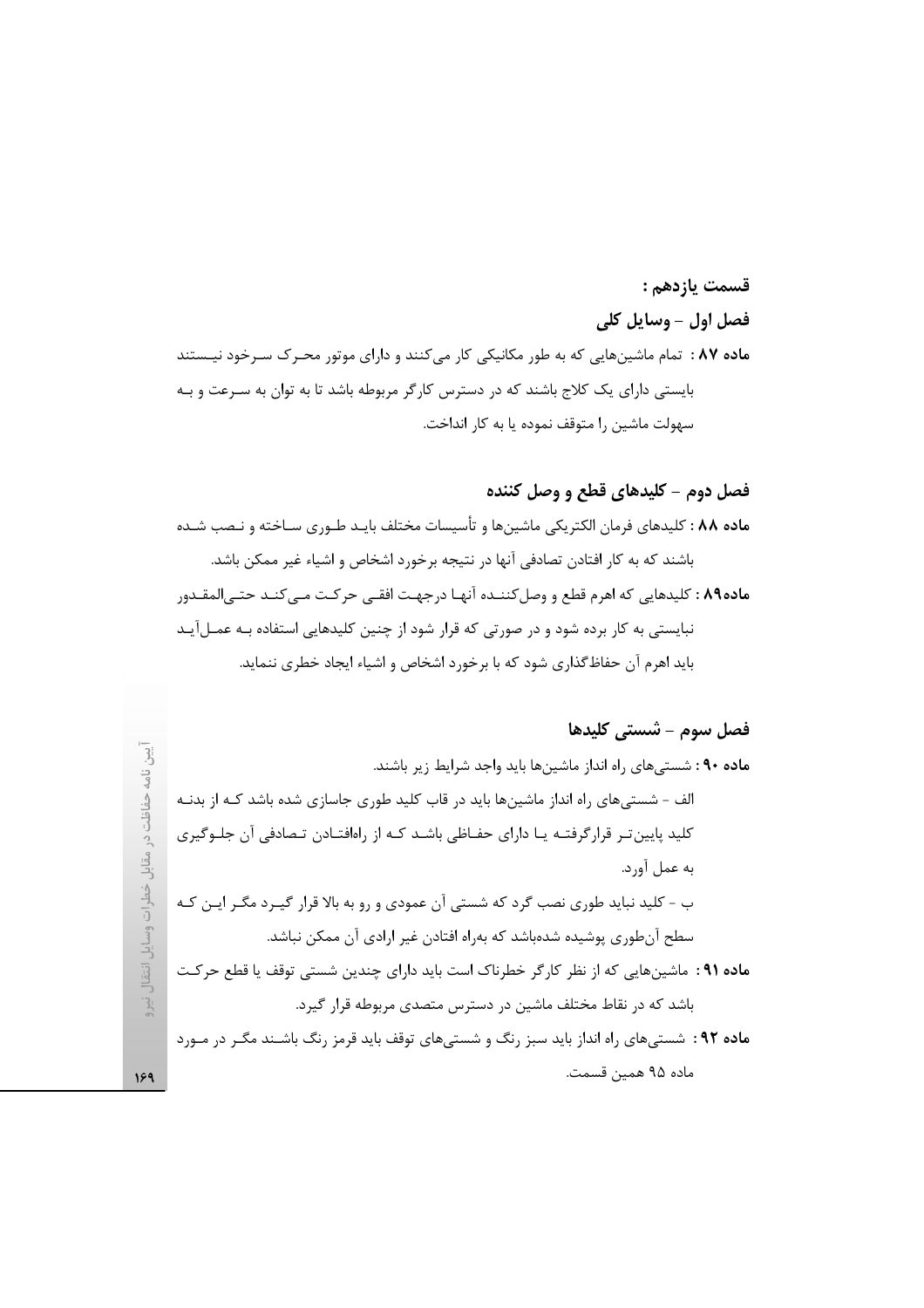# قسمت يازدهم : فصل اول - وسايل كلي ماده ۸۷ : تمام ماشینهایی که به طور مکانیکی کار میکنند و دارای موتور محـرک سـرخود نیـستند بایستی دارای یک کلاج باشند که در دسترس کارگر مربوطه باشد تا به توان به سـرعت و بـه سهولت ماشين را متوقف نموده يا به كار انداخت.

#### فصل دوم – کلیدهای قطع و وصل کننده

م**اده ۸۸ :** کلیدهای فرمان الکتریکی ماشینها و تأسیسات مختلف بایـد طـوری سـاخته و نـصب شـده باشند که به کار افتادن تصادفی آنها در نتیجه برخورد اشخاص و اشیاء غیر ممکن باشد. ماده٨٩ : كليدهايي كه اهرم قطع و وصل كننـده آنهـا درجهـت افقـي حركـت مـي كنـد حتـي|لمقـدور نبایستی به کار برده شود و در صورتی که قرار شود از چنین کلیدهایی استفاده بـه عمـلآیـد باید اهرم آن حفاظ گذاری شود که با برخورد اشخاص و اشیاء ایجاد خطری ننماید.

# فصل سوم – شستي كليدها ماده ۹۰: شسته های راه انداز ماشینها باید واجد شرایط زیر باشند. حفاظت در مقابل خطرات وسایل انتقال الف - شستیهای راه انداز ماشینها باید در قاب کلید طوری جاسازی شده باشد کـه از بدنـه کلید پایین تـر قرارگرفتـه یـا دارای حفـاظی باشـد کـه از راهافتـادن تـصادفی آن جلـوگیری به عمل آورد. ب - کلید نباید طوری نصب گرد که شستی آن عمودی و رو به بالا قرار گیـرد مگـر ایـن کـه سطح آنطوری پوشیده شدهباشد که بهراه افتادن غیر ارادی آن ممکن نباشد. ماده ۹۱ : ماشینهایی که از نظر کارگر خطرناک است باید دارای چندین شستی توقف یا قطع حرکت  $\frac{1}{2}$ باشد که در نقاط مختلف ماشین در دسترس متصدی مربوطه قرار گیرد. ماده ۹۲: شستیهای راه انداز باید سبز رنگ و شستیهای توقف باید قرمز رنگ باشـند مگـر در مـورد

ماده ۹۵ همین قسمت.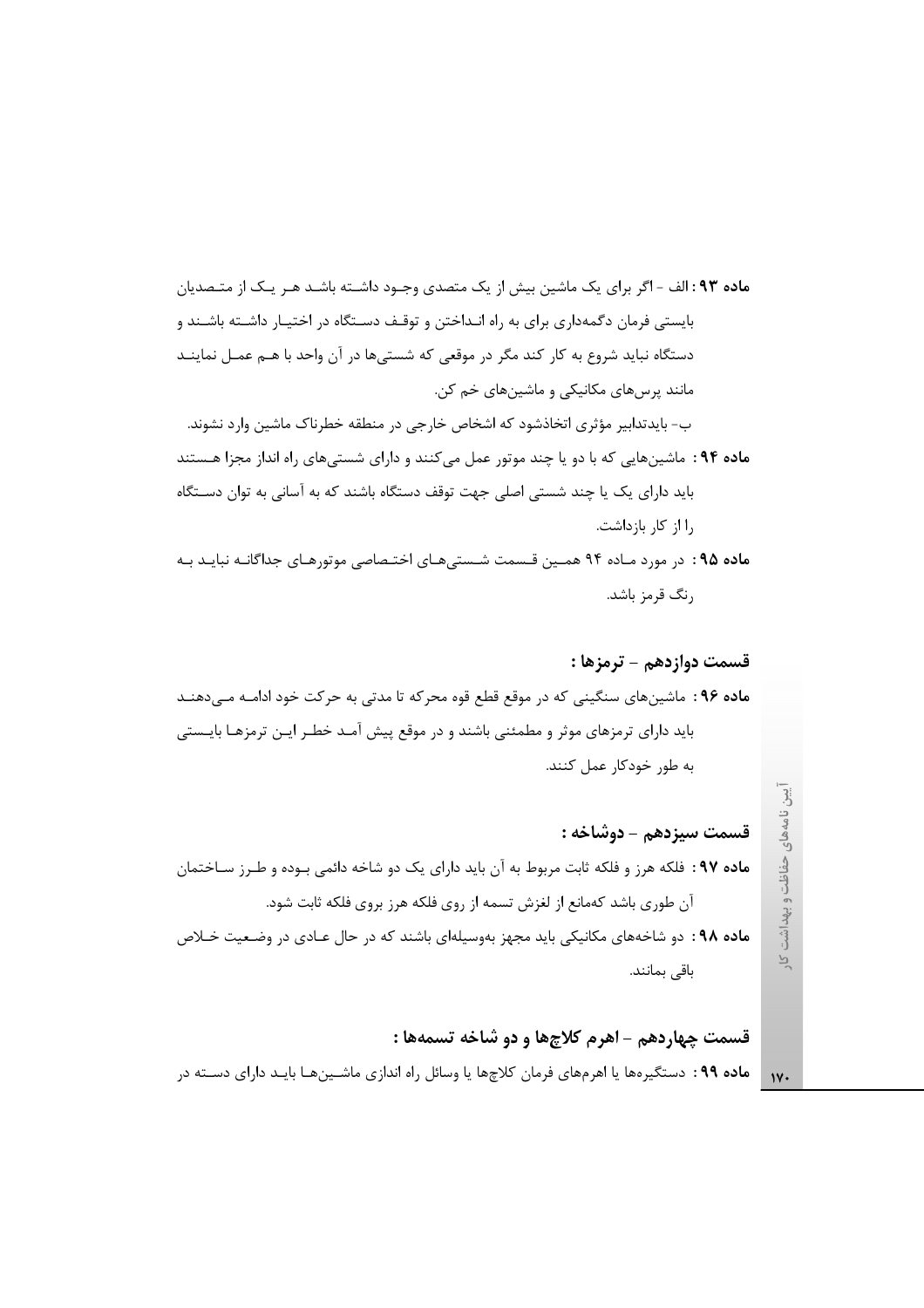م**اده ۹۳:** الف - اگر برای یک ماشین بیش از یک متصدی وجـود داشـته باشـد هـر یـک از متـصدیان بایستی فرمان دگمهداری برای به راه انـداختن و توقـف دسـتگاه در اختیـار داشـته باشـند و دستگاه نباید شروع به کار کند مگر در موقعی که شستیها در آن واحد با هـم عمـل نماینـد مانند پرسهای مکانیکی و ماشینهای خم کن. ب- بایدتدابیر مؤثری اتخاذشود که اشخاص خارجی در منطقه خطرناک ماشین وارد نشوند.

ماده ۹۴: ماشینهایی که با دو یا چند موتور عمل میکنند و دارای شستیهای راه انداز مجزا هستند باید دارای یک یا چند شستی اصلی جهت توقف دستگاه باشند که به آسانی به توان دستگاه ,ا از کار بازداشت.

ماده ۹۵: در مورد مـاده ۹۴ همـین قـسمت شـستیهـای اختـصاصی موتورهـای جداگانـه نبایـد بـه رنگ قرمز باشد.

### قسمت دوازدهم – ترمزها :

م**اده ۹۶** : ماشینهای سنگینی که در موقع قطع قوه محرکه تا مدتی به حرکت خود ادامـه مـیدهنـد باید دارای ترمزهای موثر و مطمئنی باشند و در موقع پیش آمـد خطـر ایـن ترمزهـا بایـستی به طور خودکار عمل کنند.

قسمت سيزدهم - دوشاخه : ماده ۹۷: فلکه هرز و فلکه ثابت مربوط به آن باید دارای یک دو شاخه دائمی بـوده و طـرز سـاختمان آن طوري باشد كهمانع از لغزش تسمه از روي فلكه هرز بروي فلكه ثابت شود. **ماده ۹۸:** دو شاخههای مکانیکی باید مجهز بهوسیلهای باشند که در حال عـادی در وضـعیت خـلاص

باقی بمانند.

قسمت چهاردهم - اهرم کلاچها و دو شاخه تسمهها : **ماده ۹۹** : دستگیرهها یا اهرمهای فرمان کلاچها یا وسائل راه اندازی ماشـینهـا بایـد دارای دسـته در

نامههای حفاظت و بهداشت  $\overline{P}$ 

 $\gamma$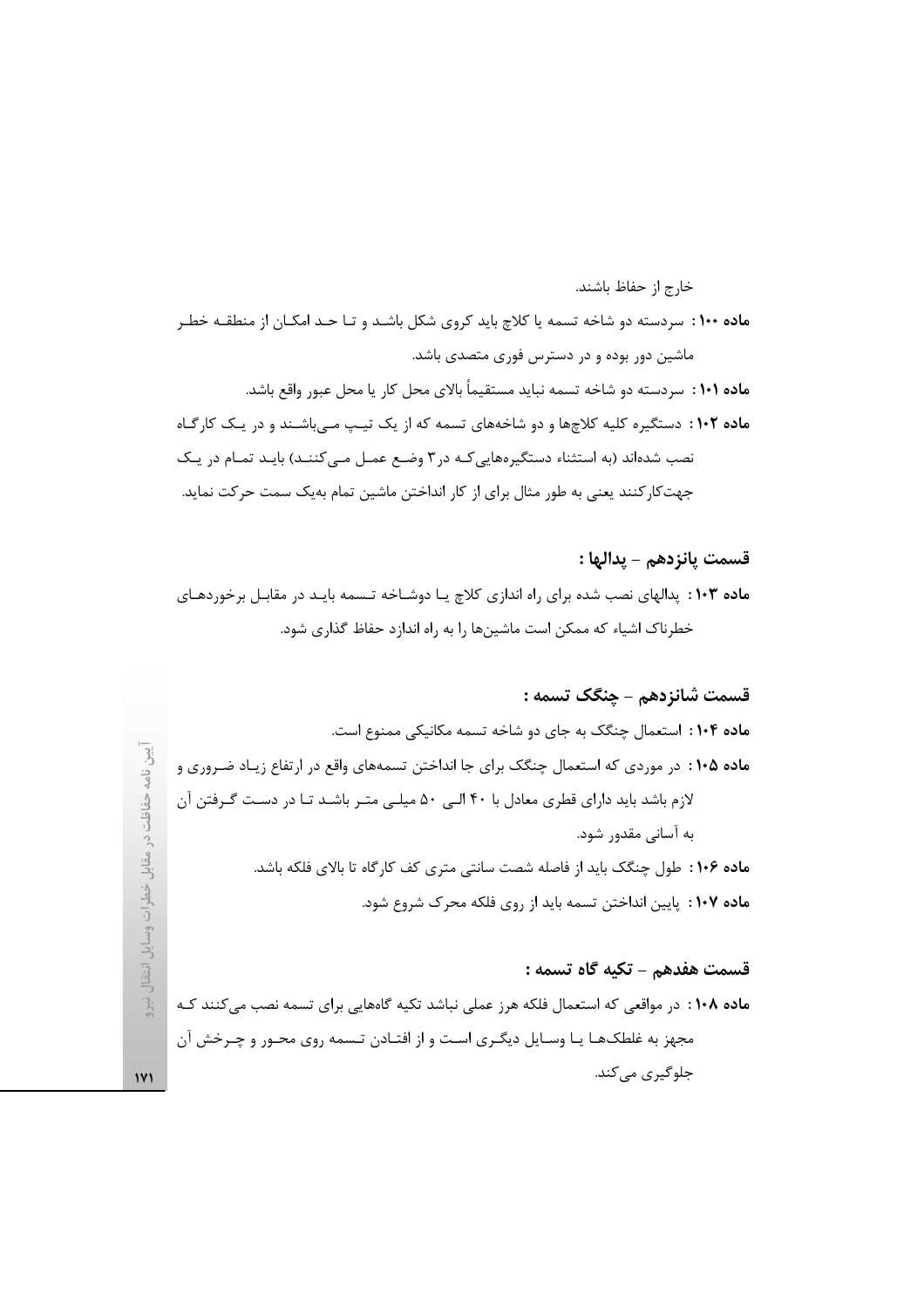ماده ۱۰۰ : سردسته دو شاخه تسمه یا کلاچ باید کروی شکل باشـد و تـا حـد امکـان از منطقـه خطـر ماشین دور بوده و در دسترس فوری متصدی باشد. م**اده ۱۰۱** : سردسته دو شاخه تسمه نباید مستقیماً بالای محل کار یا محل عبور واقع باشد. ماده ۱۰۲ : دستگیره کلیه کلاچها و دو شاخههای تسمه که از یک تیپ مے باشـند و در یـک کارگـاه نصب شدهاند (به استثناء دستگیرههایی کـه در ۳ وضـع عمـل مـی کننـد) بایـد تمـام در یـک جهت کار کنند یعنی به طور مثال برای از کار انداختن ماشین تمام بهیک سمت حرکت نماید.

قسمت يانزدهم – يدالها : ماده ۱۰۳ : پدالهای نصب شده برای راه اندازی کلاچ یـا دوشـاخه تـسمه بایـد در مقابـل برخوردهـای خطرناک اشیاء که ممکن است ماشینها را به راه اندازد حفاظ گذاری شود.

قسمت شانزدهم – چنگک تسمه : ماده ۱۰۴: استعمال چنگک به جای دو شاخه تسمه مکانیکی ممنوع است. م**اده ۱۰۵** : در موردی که استعمال چنگک برای جا انداختن تسمههای واقع در ارتفاع زیـاد ضـروری و لازم باشد باید دارای قطری معادل با ۴۰ البی ۵۰ میلی متـر باشـد تـا در دسـت گـرفتن آن به آسانی مقدور شود. ماده ۱۰۶ : طول چنگک باید از فاصله شصت سانتی متری کف کارگاه تا بالای فلکه باشد. م**اده ۱۰۷** : پایین انداختن تسمه باید از روی فلکه محرک شروع شود.

#### قسمت هفدهم – تكيه گاه تسمه :

خارج از حفاظ باشند.

ماده ۱۰۸: در مواقعی که استعمال فلکه هرز عملی نباشد تکیه گاههایی برای تسمه نصب می کنند کـه مجهز به غلطکهـا يـا وسـايل ديگـري اسـت و از افتـادن تـسمه روي محـور و چـرخش آن جلوگیری میکند.

حفاظت ، در مقابل خطرات وسایل انتقال  $\frac{1}{2}$  $\mathbf{y}$